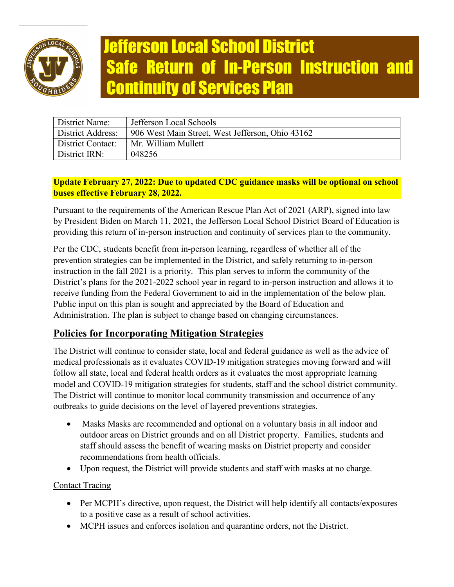

# Jefferson Local School District Safe Return of In-Person Instruction and Continuity of Services Plan

| District Name:           | Jefferson Local Schools                          |
|--------------------------|--------------------------------------------------|
| <b>District Address:</b> | 906 West Main Street, West Jefferson, Ohio 43162 |
| District Contact:        | Mr. William Mullett                              |
| District IRN:            | 048256                                           |

# **Update February 27, 2022: Due to updated CDC guidance masks will be optional on school buses effective February 28, 2022.**

Pursuant to the requirements of the American Rescue Plan Act of 2021 (ARP), signed into law by President Biden on March 11, 2021, the Jefferson Local School District Board of Education is providing this return of in-person instruction and continuity of services plan to the community.

Per the CDC, students benefit from in-person learning, regardless of whether all of the prevention strategies can be implemented in the District, and safely returning to in-person instruction in the fall 2021 is a priority. This plan serves to inform the community of the District's plans for the 2021-2022 school year in regard to in-person instruction and allows it to receive funding from the Federal Government to aid in the implementation of the below plan. Public input on this plan is sought and appreciated by the Board of Education and Administration. The plan is subject to change based on changing circumstances.

# **Policies for Incorporating Mitigation Strategies**

The District will continue to consider state, local and federal guidance as well as the advice of medical professionals as it evaluates COVID-19 mitigation strategies moving forward and will follow all state, local and federal health orders as it evaluates the most appropriate learning model and COVID-19 mitigation strategies for students, staff and the school district community. The District will continue to monitor local community transmission and occurrence of any outbreaks to guide decisions on the level of layered preventions strategies.

- Masks Masks are recommended and optional on a voluntary basis in all indoor and outdoor areas on District grounds and on all District property. Families, students and staff should assess the benefit of wearing masks on District property and consider recommendations from health officials.
- Upon request, the District will provide students and staff with masks at no charge.

# Contact Tracing

- Per MCPH's directive, upon request, the District will help identify all contacts/exposures to a positive case as a result of school activities.
- MCPH issues and enforces isolation and quarantine orders, not the District.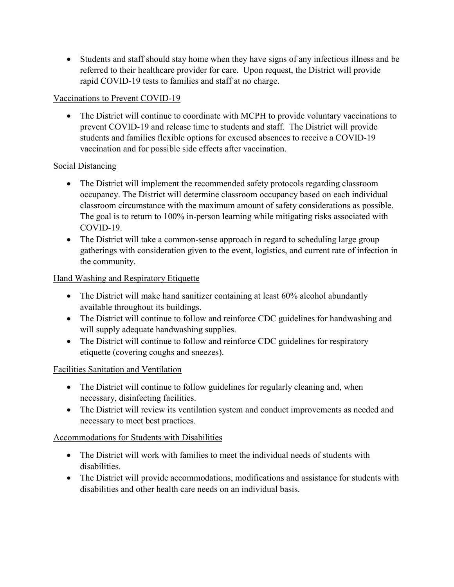• Students and staff should stay home when they have signs of any infectious illness and be referred to their healthcare provider for care. Upon request, the District will provide rapid COVID-19 tests to families and staff at no charge.

# Vaccinations to Prevent COVID-19

• The District will continue to coordinate with MCPH to provide voluntary vaccinations to prevent COVID-19 and release time to students and staff. The District will provide students and families flexible options for excused absences to receive a COVID-19 vaccination and for possible side effects after vaccination.

## Social Distancing

- The District will implement the recommended safety protocols regarding classroom occupancy. The District will determine classroom occupancy based on each individual classroom circumstance with the maximum amount of safety considerations as possible. The goal is to return to 100% in-person learning while mitigating risks associated with COVID-19.
- The District will take a common-sense approach in regard to scheduling large group gatherings with consideration given to the event, logistics, and current rate of infection in the community.

## Hand Washing and Respiratory Etiquette

- The District will make hand sanitizer containing at least 60% alcohol abundantly available throughout its buildings.
- The District will continue to follow and reinforce CDC guidelines for handwashing and will supply adequate handwashing supplies.
- The District will continue to follow and reinforce CDC guidelines for respiratory etiquette (covering coughs and sneezes).

#### Facilities Sanitation and Ventilation

- The District will continue to follow guidelines for regularly cleaning and, when necessary, disinfecting facilities.
- The District will review its ventilation system and conduct improvements as needed and necessary to meet best practices.

# Accommodations for Students with Disabilities

- The District will work with families to meet the individual needs of students with disabilities.
- The District will provide accommodations, modifications and assistance for students with disabilities and other health care needs on an individual basis.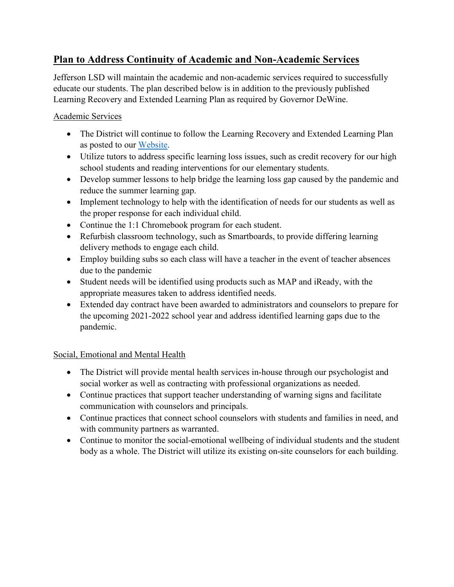# **Plan to Address Continuity of Academic and Non-Academic Services**

Jefferson LSD will maintain the academic and non-academic services required to successfully educate our students. The plan described below is in addition to the previously published Learning Recovery and Extended Learning Plan as required by Governor DeWine.

## Academic Services

- The District will continue to follow the Learning Recovery and Extended Learning Plan as posted to our [Website.](https://www.west-jefferson.k12.oh.us/protected/ArticleView.aspx?iid=6YIAA30&dasi=3IP2)
- Utilize tutors to address specific learning loss issues, such as credit recovery for our high school students and reading interventions for our elementary students.
- Develop summer lessons to help bridge the learning loss gap caused by the pandemic and reduce the summer learning gap.
- Implement technology to help with the identification of needs for our students as well as the proper response for each individual child.
- Continue the 1:1 Chromebook program for each student.
- Refurbish classroom technology, such as Smartboards, to provide differing learning delivery methods to engage each child.
- Employ building subs so each class will have a teacher in the event of teacher absences due to the pandemic
- Student needs will be identified using products such as MAP and iReady, with the appropriate measures taken to address identified needs.
- Extended day contract have been awarded to administrators and counselors to prepare for the upcoming 2021-2022 school year and address identified learning gaps due to the pandemic.

# Social, Emotional and Mental Health

- The District will provide mental health services in-house through our psychologist and social worker as well as contracting with professional organizations as needed.
- Continue practices that support teacher understanding of warning signs and facilitate communication with counselors and principals.
- Continue practices that connect school counselors with students and families in need, and with community partners as warranted.
- Continue to monitor the social-emotional wellbeing of individual students and the student body as a whole. The District will utilize its existing on-site counselors for each building.